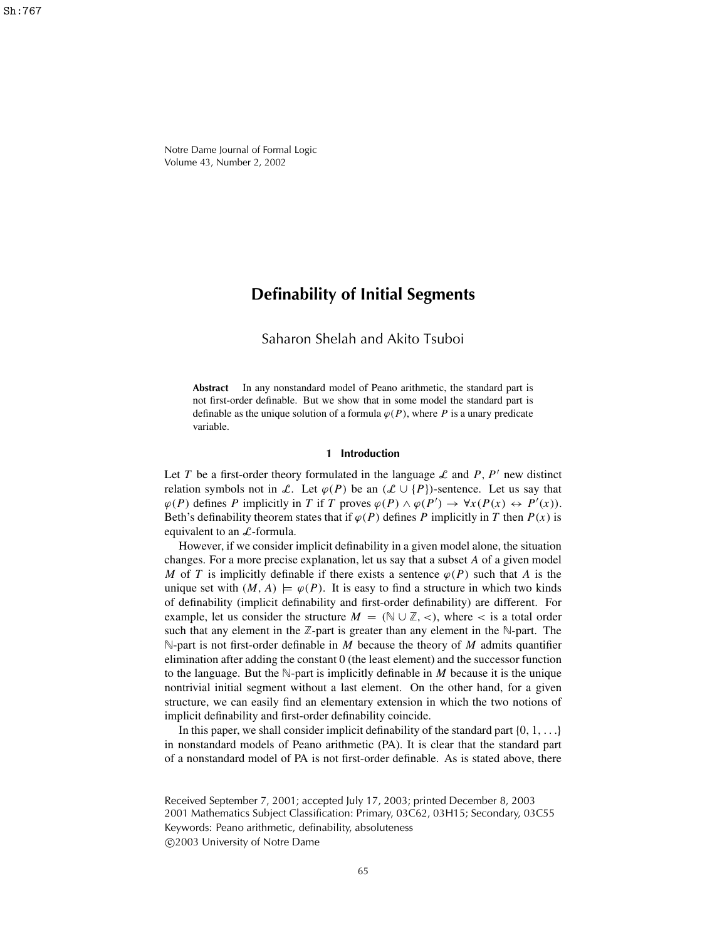Notre Dame Journal of Formal Logic Volume 43, Number 2, 2002

# **Definability of Initial Segments**

# Saharon Shelah and Akito Tsuboi

**Abstract** In any nonstandard model of Peano arithmetic, the standard part is not first-order definable. But we show that in some model the standard part is definable as the unique solution of a formula  $\varphi(P)$ , where *P* is a unary predicate variable.

#### **1 Introduction**

Let *T* be a first-order theory formulated in the language  $\mathcal L$  and *P*, *P'* new distinct relation symbols not in L. Let  $\varphi(P)$  be an  $(\mathcal{L} \cup \{P\})$ -sentence. Let us say that  $\varphi(P)$  defines *P* implicitly in *T* if *T* proves  $\varphi(P) \land \varphi(P') \rightarrow \forall x (P(x) \leftrightarrow P'(x))$ . Beth's definability theorem states that if  $\varphi(P)$  defines *P* implicitly in *T* then  $P(x)$  is equivalent to an  $\mathcal{L}$ -formula.

However, if we consider implicit definability in a given model alone, the situation changes. For a more precise explanation, let us say that a subset *A* of a given model *M* of *T* is implicitly definable if there exists a sentence  $\varphi(P)$  such that *A* is the unique set with  $(M, A) \models \varphi(P)$ . It is easy to find a structure in which two kinds of definability (implicit definability and first-order definability) are different. For example, let us consider the structure  $M = (\mathbb{N} \cup \mathbb{Z}, \langle \cdot \rangle)$ , where  $\langle \cdot \rangle$  is a total order such that any element in the  $\mathbb{Z}$ -part is greater than any element in the  $\mathbb{N}$ -part. The N-part is not first-order definable in *M* because the theory of *M* admits quantifier elimination after adding the constant 0 (the least element) and the successor function to the language. But the  $\mathbb{N}$ -part is implicitly definable in *M* because it is the unique nontrivial initial segment without a last element. On the other hand, for a given structure, we can easily find an elementary extension in which the two notions of implicit definability and first-order definability coincide.

In this paper, we shall consider implicit definability of the standard part  $\{0, 1, \ldots\}$ in nonstandard models of Peano arithmetic (PA). It is clear that the standard part of a nonstandard model of PA is not first-order definable. As is stated above, there

Received September 7, 2001; accepted July 17, 2003; printed December 8, 2003 2001 Mathematics Subject Classification: Primary, 03C62, 03H15; Secondary, 03C55 Keywords: Peano arithmetic, definability, absoluteness c 2003 University of Notre Dame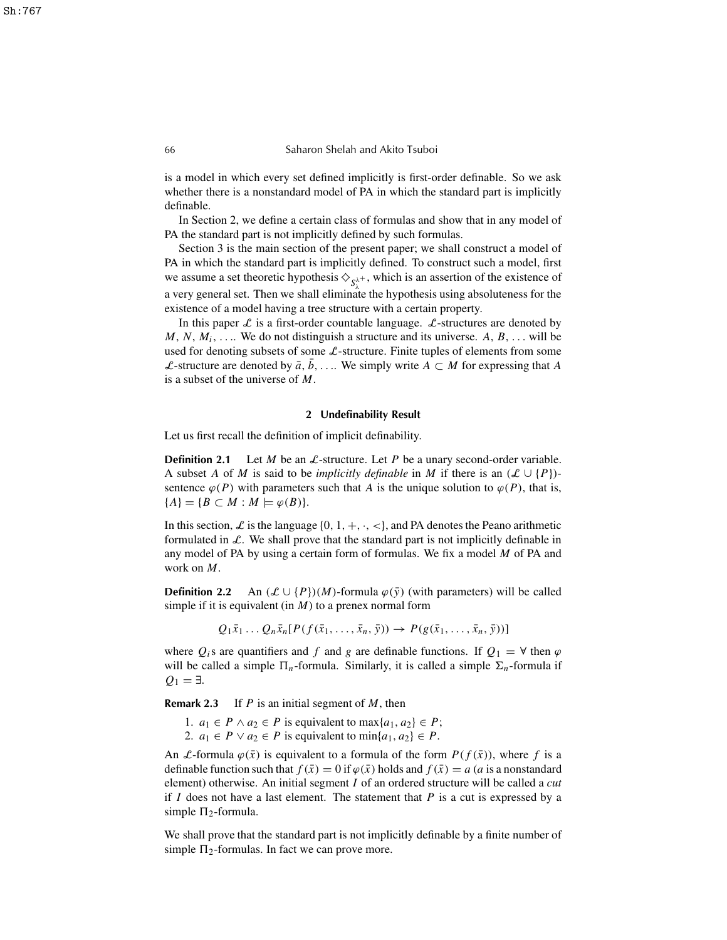is a model in which every set defined implicitly is first-order definable. So we ask whether there is a nonstandard model of PA in which the standard part is implicitly definable.

In Section 2, we define a certain class of formulas and show that in any model of PA the standard part is not implicitly defined by such formulas.

Section 3 is the main section of the present paper; we shall construct a model of PA in which the standard part is implicitly defined. To construct such a model, first we assume a set theoretic hypothesis  $\diamondsuit_{S_\lambda^{\lambda^+}}$ , which is an assertion of the existence of a very general set. Then we shall eliminate the hypothesis using absoluteness for the existence of a model having a tree structure with a certain property.

In this paper  $\mathcal L$  is a first-order countable language.  $\mathcal L$ -structures are denoted by  $M, N, M_i, \ldots$  We do not distinguish a structure and its universe. A,  $B, \ldots$  will be used for denoting subsets of some  $\mathcal{L}$ -structure. Finite tuples of elements from some *L*-structure are denoted by  $\bar{a}$ , *b*, . . . We simply write *A* ⊂ *M* for expressing that *A* is a subset of the universe of *M*.

#### **2 Undefinability Result**

Let us first recall the definition of implicit definability.

**Definition 2.1** Let *M* be an  $\mathcal{L}$ -structure. Let *P* be a unary second-order variable. A subset *A* of *M* is said to be *implicitly definable* in *M* if there is an  $(\mathcal{L} \cup \{P\})$ sentence  $\varphi(P)$  with parameters such that *A* is the unique solution to  $\varphi(P)$ , that is,  ${A} = {B \subset M : M \models \varphi(B)}.$ 

In this section, L is the language  $\{0, 1, +, \cdot, <\}$ , and PA denotes the Peano arithmetic formulated in  $\mathcal{L}$ . We shall prove that the standard part is not implicitly definable in any model of PA by using a certain form of formulas. We fix a model *M* of PA and work on *M*.

**Definition** 2.2 An  $(\mathcal{L} \cup \{P\})(M)$ -formula  $\varphi(\bar{y})$  (with parameters) will be called simple if it is equivalent (in *M*) to a prenex normal form

$$
Q_1\bar{x}_1 \ldots Q_n\bar{x}_n[P(f(\bar{x}_1,\ldots,\bar{x}_n,\bar{y}))\rightarrow P(g(\bar{x}_1,\ldots,\bar{x}_n,\bar{y}))]
$$

where  $Q_i$ s are quantifiers and f and g are definable functions. If  $Q_1 = \forall$  then  $\varphi$ will be called a simple  $\Pi_n$ -formula. Similarly, it is called a simple  $\Sigma_n$ -formula if  $Q_1 = ∃$ .

**Remark 2.3** If *P* is an initial segment of *M*, then

- 1.  $a_1 \in P \land a_2 \in P$  is equivalent to  $\max\{a_1, a_2\} \in P$ ;
- 2.  $a_1 \in P \vee a_2 \in P$  is equivalent to  $\min\{a_1, a_2\} \in P$ .

An *L*-formula  $\varphi(\bar{x})$  is equivalent to a formula of the form  $P(f(\bar{x}))$ , where f is a definable function such that  $f(\bar{x}) = 0$  if  $\varphi(\bar{x})$  holds and  $f(\bar{x}) = a$  (*a* is a nonstandard element) otherwise. An initial segment *I* of an ordered structure will be called a *cut* if  $I$  does not have a last element. The statement that  $P$  is a cut is expressed by a simple  $\Pi_2$ -formula.

We shall prove that the standard part is not implicitly definable by a finite number of simple  $\Pi_2$ -formulas. In fact we can prove more.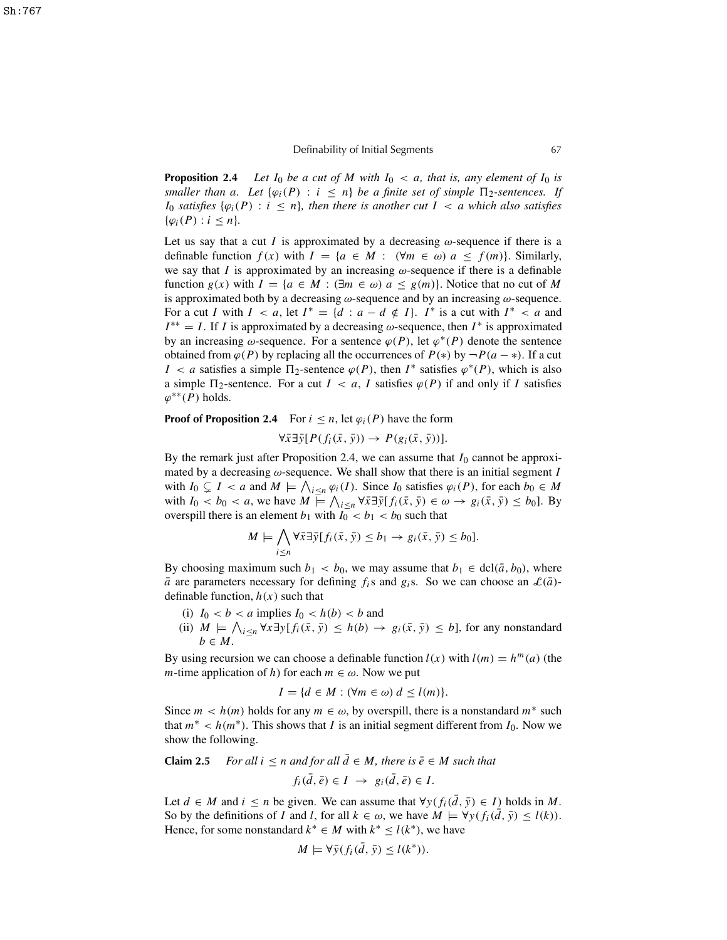**Proposition 2.4** *Let*  $I_0$  *be a cut of*  $M$  *with*  $I_0 < a$ *, that is, any element of*  $I_0$  *is smaller than a. Let*  $\{\varphi_i(P) : i \leq n\}$  *be a finite set of simple*  $\Pi_2$ -sentences. If *I*<sub>0</sub> *satisfies*  $\{\varphi_i(P): i \leq n\}$ *, then there is another cut*  $I < a$  *which also satisfies*  $\{\varphi_i(P) : i \leq n\}.$ 

Let us say that a cut *I* is approximated by a decreasing  $\omega$ -sequence if there is a definable function  $f(x)$  with  $I = \{a \in M : (\forall m \in \omega) \mid a \le f(m)\}\)$ . Similarly, we say that *I* is approximated by an increasing  $\omega$ -sequence if there is a definable function  $g(x)$  with  $I = \{a \in M : (\exists m \in \omega) \mid a \leq g(m)\}\)$ . Notice that no cut of M is approximated both by a decreasing  $\omega$ -sequence and by an increasing  $\omega$ -sequence. For a cut *I* with  $I < a$ , let  $I^* = \{d : a - d \notin I\}$ .  $I^*$  is a cut with  $I^* < a$  and  $I^{**} = I$ . If *I* is approximated by a decreasing  $\omega$ -sequence, then  $I^*$  is approximated by an increasing  $\omega$ -sequence. For a sentence  $\varphi(P)$ , let  $\varphi^*(P)$  denote the sentence obtained from  $\varphi(P)$  by replacing all the occurrences of  $P(*)$  by  $\neg P(a - *)$ . If a cut *I* < *a* satisfies a simple  $\Pi_2$ -sentence  $\varphi(P)$ , then *I*<sup>\*</sup> satisfies  $\varphi^*(P)$ , which is also a simple  $\Pi_2$ -sentence. For a cut  $I < a$ , *I* satisfies  $\varphi(P)$  if and only if *I* satisfies  $\varphi^{**}(P)$  holds.

**Proof of Proposition 2.4** For  $i \leq n$ , let  $\varphi_i(P)$  have the form

$$
\forall \bar{x} \exists \bar{y} [ P(f_i(\bar{x}, \bar{y})) \rightarrow P(g_i(\bar{x}, \bar{y}))].
$$

By the remark just after Proposition 2.4, we can assume that  $I_0$  cannot be approximated by a decreasing  $\omega$ -sequence. We shall show that there is an initial segment *I* with  $I_0 \subsetneq I < a$  and  $M \models \bigwedge_{i \leq n} \varphi_i(I)$ . Since  $I_0$  satisfies  $\varphi_i(P)$ , for each  $b_0 \in M$ with  $I_0 < b_0 < a$ , we have  $M \models \bigwedge_{i \leq n} \forall \overline{x} \exists \overline{y} [f_i(\overline{x}, \overline{y}) \in \omega \rightarrow g_i(\overline{x}, \overline{y}) \leq b_0]$ . By overspill there is an element  $b_1$  with  $I_0 < b_1 < b_0$  such that

$$
M \models \bigwedge_{i \leq n} \forall \bar{x} \exists \bar{y} [f_i(\bar{x}, \bar{y}) \leq b_1 \rightarrow g_i(\bar{x}, \bar{y}) \leq b_0].
$$

By choosing maximum such  $b_1 < b_0$ , we may assume that  $b_1 \in \text{dcl}(\bar{a}, b_0)$ , where  $\bar{a}$  are parameters necessary for defining *f*<sub>*i*</sub>s and *g*<sub>*i*</sub>s. So we can choose an  $\mathcal{L}(\bar{a})$ definable function,  $h(x)$  such that

- (i)  $I_0 < b < a$  implies  $I_0 < h(b) < b$  and
- (ii)  $M$   $\models \bigwedge_{i \leq n} \forall x \exists y [f_i(\bar{x}, \bar{y}) \leq h(b) \rightarrow g_i(\bar{x}, \bar{y}) \leq b]$ , for any nonstandard *b* ∈ *M*.

By using recursion we can choose a definable function  $l(x)$  with  $l(m) = h^m(a)$  (the *m*-time application of *h*) for each  $m \in \omega$ . Now we put

$$
I = \{d \in M : (\forall m \in \omega) \ d \le l(m)\}.
$$

Since  $m < h(m)$  holds for any  $m \in \omega$ , by overspill, there is a nonstandard  $m^*$  such that  $m^* < h(m^*)$ . This shows that *I* is an initial segment different from  $I_0$ . Now we show the following.

**Claim 2.5** *For all*  $i \leq n$  *and for all*  $\overline{d} \in M$ *, there is*  $\overline{e} \in M$  *such that* 

$$
f_i(\bar{d}, \bar{e}) \in I \ \to \ g_i(\bar{d}, \bar{e}) \in I.
$$

Let *d* ∈ *M* and *i* ≤ *n* be given. We can assume that  $\forall y (f_i(\overline{d}, \overline{y}) \in I)$  holds in *M*. So by the definitions of *I* and *l*, for all  $k \in \omega$ , we have  $M \models \forall y (f_i(\bar{d}, \bar{y}) \leq l(k)).$ Hence, for some nonstandard  $k^* \in M$  with  $k^* \leq l(k^*)$ , we have

$$
M \models \forall \bar{y} (f_i(\bar{d}, \bar{y}) \le l(k^*)).
$$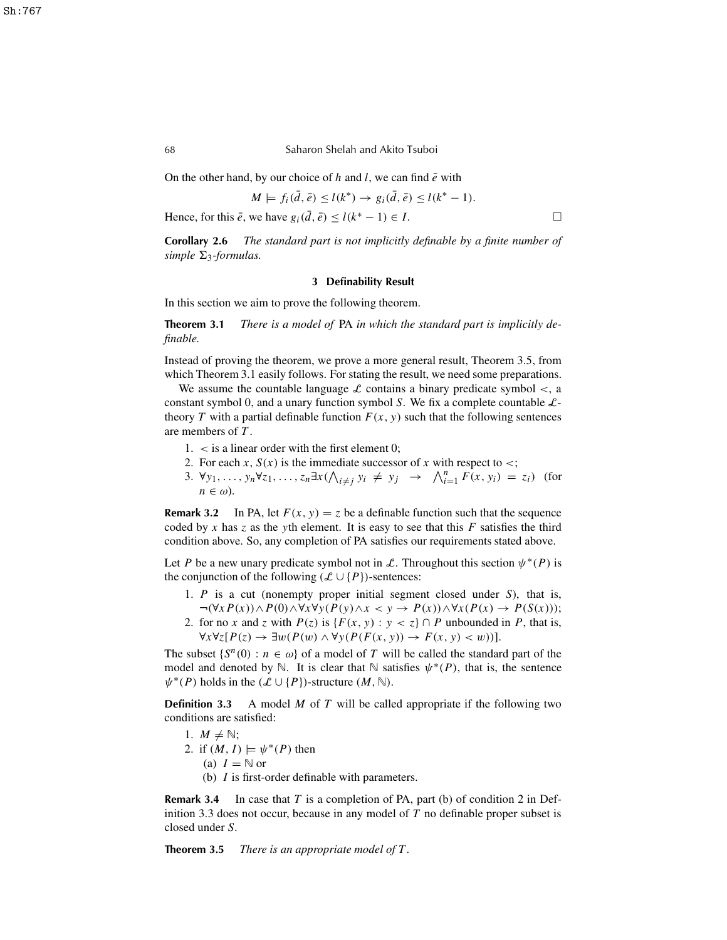#### 68 Saharon Shelah and Akito Tsuboi

On the other hand, by our choice of h and l, we can find  $\bar{e}$  with

$$
M \models f_i(\bar{d}, \bar{e}) \le l(k^*) \rightarrow g_i(\bar{d}, \bar{e}) \le l(k^* - 1).
$$

Hence, for this  $\bar{e}$ , we have  $g_i(\bar{d}, \bar{e}) \le l(k^* - 1) \in I$ .

**Corollary 2.6** *The standard part is not implicitly definable by a finite number of*  $simple \Sigma_3$ -formulas.

### **3 Definability Result**

In this section we aim to prove the following theorem.

**Theorem 3.1** *There is a model of* PA *in which the standard part is implicitly definable.*

Instead of proving the theorem, we prove a more general result, Theorem 3.5, from which Theorem 3.1 easily follows. For stating the result, we need some preparations.

We assume the countable language  $\mathcal L$  contains a binary predicate symbol  $\lt$ , a constant symbol 0, and a unary function symbol *S*. We fix a complete countable Ltheory *T* with a partial definable function  $F(x, y)$  such that the following sentences are members of *T* .

- $1. <$  is a linear order with the first element 0;
- 2. For each *x*,  $S(x)$  is the immediate successor of *x* with respect to <;
- 3.  $\forall y_1, \ldots, y_n \forall z_1, \ldots, z_n \exists x (\bigwedge_{i \neq j} y_i \neq y_j \rightarrow \bigwedge_{i=1}^n F(x, y_i) = z_i)$  (for  $n \in \omega$ ).

**Remark** 3.2 In PA, let  $F(x, y) = z$  be a definable function such that the sequence coded by  $x$  has  $z$  as the *y*th element. It is easy to see that this  $F$  satisfies the third condition above. So, any completion of PA satisfies our requirements stated above.

Let *P* be a new unary predicate symbol not in L. Throughout this section  $\psi^*(P)$  is the conjunction of the following  $(\mathcal{L} \cup \{P\})$ -sentences:

- 1. *P* is a cut (nonempty proper initial segment closed under *S*), that is, ¬(∀*x P*(*x*))∧*P*(0)∧∀*x*∀*y*(*P*(*y*)∧*x* < *y* → *P*(*x*))∧∀*x*(*P*(*x*) → *P*(*S*(*x*)));
- 2. for no *x* and *z* with  $P(z)$  is  $\{F(x, y) : y < z\} \cap P$  unbounded in *P*, that is, ∀*x*∀*z*[*P*(*z*) → ∃w(*P*(w) ∧ ∀*y*(*P*(*F*(*x*, *y*)) → *F*(*x*, *y*) < w))].

The subset  $\{S^n(0) : n \in \omega\}$  of a model of *T* will be called the standard part of the model and denoted by  $\mathbb N$ . It is clear that  $\mathbb N$  satisfies  $\psi^*(P)$ , that is, the sentence  $\psi^*(P)$  holds in the  $(\mathcal{L} \cup \{P\})$ -structure  $(M, \mathbb{N})$ .

**Definition 3.3** A model *M* of *T* will be called appropriate if the following two conditions are satisfied:

- 1.  $M \neq \mathbb{N}$ ;
- 2. if  $(M, I) \models \psi^*(P)$  then
	- (a)  $I = \mathbb{N}$  or
	- (b) *I* is first-order definable with parameters.

**Remark 3.4** In case that *T* is a completion of PA, part (b) of condition 2 in Definition 3.3 does not occur, because in any model of *T* no definable proper subset is closed under *S*.

**Theorem 3.5** *There is an appropriate model of T .*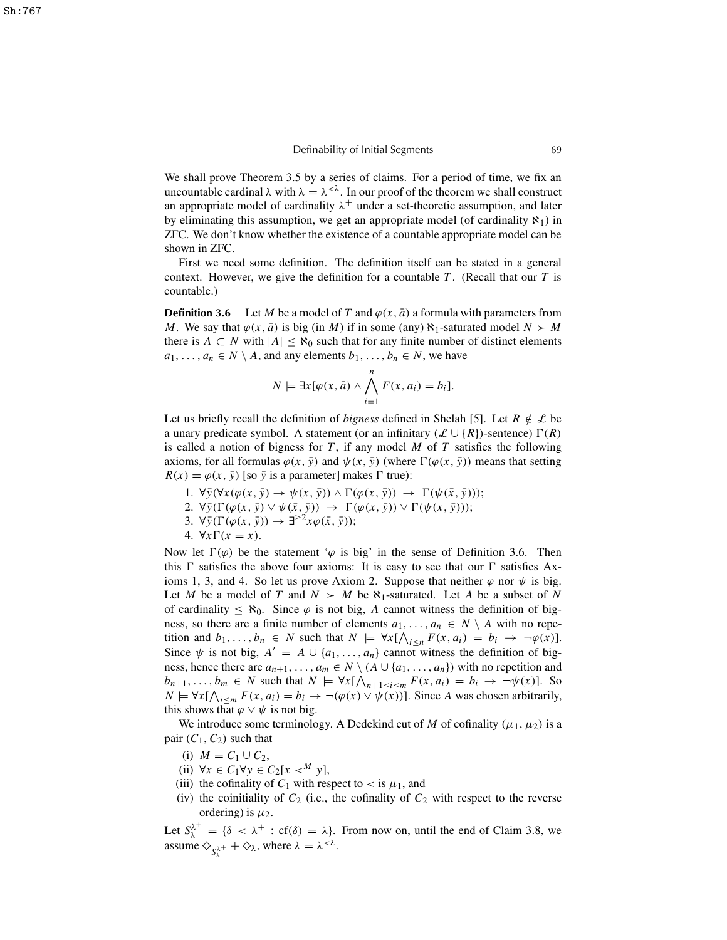We shall prove Theorem 3.5 by a series of claims. For a period of time, we fix an uncountable cardinal  $\lambda$  with  $\lambda = \lambda^{<\lambda}$ . In our proof of the theorem we shall construct an appropriate model of cardinality  $\lambda^+$  under a set-theoretic assumption, and later by eliminating this assumption, we get an appropriate model (of cardinality  $\aleph_1$ ) in ZFC. We don't know whether the existence of a countable appropriate model can be shown in ZFC.

First we need some definition. The definition itself can be stated in a general context. However, we give the definition for a countable *T* . (Recall that our *T* is countable.)

**Definition 3.6** Let *M* be a model of *T* and  $\varphi(x, \bar{a})$  a formula with parameters from *M*. We say that  $\varphi(x, \bar{a})$  is big (in *M*) if in some (any)  $\aleph_1$ -saturated model  $N > M$ there is  $A \subset N$  with  $|A| \leq \aleph_0$  such that for any finite number of distinct elements  $a_1, \ldots, a_n \in N \setminus A$ , and any elements  $b_1, \ldots, b_n \in N$ , we have

$$
N \models \exists x [\varphi(x, \bar{a}) \land \bigwedge_{i=1}^{n} F(x, a_i) = b_i].
$$

Let us briefly recall the definition of *bigness* defined in Shelah [5]. Let  $R \notin \mathcal{L}$  be a unary predicate symbol. A statement (or an infinitary  $(\mathcal{L} \cup \{R\})$ -sentence)  $\Gamma(R)$ is called a notion of bigness for *T* , if any model *M* of *T* satisfies the following axioms, for all formulas  $\varphi(x, \bar{y})$  and  $\psi(x, \bar{y})$  (where  $\Gamma(\varphi(x, \bar{y}))$  means that setting  $R(x) = \varphi(x, \bar{y})$  [so  $\bar{y}$  is a parameter] makes  $\Gamma$  true):

- 1.  $\forall \bar{y}(\forall x(\varphi(x, \bar{y}) \rightarrow \psi(x, \bar{y})) \land \Gamma(\varphi(x, \bar{y})) \rightarrow \Gamma(\psi(\bar{x}, \bar{y}));$
- 2.  $\forall \bar{y}(\Gamma(\varphi(x,\bar{y}) \vee \psi(\bar{x},\bar{y})) \rightarrow \Gamma(\varphi(x,\bar{y})) \vee \Gamma(\psi(x,\bar{y}));$
- 3.  $\forall \bar{y}(\Gamma(\varphi(x,\bar{y})) \rightarrow \exists^{\geq 2} x \varphi(\bar{x},\bar{y}))$ ;
- 4.  $\forall x \Gamma(x = x)$ .

Now let  $\Gamma(\varphi)$  be the statement ' $\varphi$  is big' in the sense of Definition 3.6. Then this  $\Gamma$  satisfies the above four axioms: It is easy to see that our  $\Gamma$  satisfies Axioms 1, 3, and 4. So let us prove Axiom 2. Suppose that neither  $\varphi$  nor  $\psi$  is big. Let *M* be a model of *T* and  $N > M$  be  $\aleph_1$ -saturated. Let *A* be a subset of *N* of cardinality  $\leq \aleph_0$ . Since  $\varphi$  is not big, A cannot witness the definition of bigness, so there are a finite number of elements  $a_1, \ldots, a_n \in N \setminus A$  with no repetition and  $b_1, \ldots, b_n \in N$  such that  $N \models \forall x [\bigwedge_{i \leq n} F(x, a_i) = b_i \rightarrow \neg \varphi(x)].$ Since  $\psi$  is not big,  $A' = A \cup \{a_1, \ldots, a_n\}$  cannot witness the definition of bigness, hence there are  $a_{n+1}, \ldots, a_m \in N \setminus (A \cup \{a_1, \ldots, a_n\})$  with no repetition and  $b_{n+1}, \ldots, b_m \in N$  such that  $N \models \forall x [\bigwedge_{n+1 \le i \le m} F(x, a_i) = b_i \rightarrow \neg \psi(x)]$ . So *N*  $\models \forall x [\bigwedge_{i \leq m} F(x, a_i) = b_i \rightarrow \neg(\varphi(x) \lor \psi(x))].$  Since *A* was chosen arbitrarily, this shows that  $\varphi \lor \psi$  is not big.

We introduce some terminology. A Dedekind cut of *M* of cofinality ( $\mu_1, \mu_2$ ) is a pair  $(C_1, C_2)$  such that

- (i)  $M = C_1 \cup C_2$ ,
- (ii)  $∀x ∈ C_1∀y ∈ C_2[x <sup>M</sup> y],$
- (iii) the cofinality of  $C_1$  with respect to  $\lt$  is  $\mu_1$ , and
- (iv) the coinitiality of  $C_2$  (i.e., the cofinality of  $C_2$  with respect to the reverse ordering) is  $\mu_2$ .

Let  $S_{\lambda}^{\lambda^+} = {\delta \langle \lambda^+ : cf(\delta) = \lambda}$ . From now on, until the end of Claim 3.8, we assume  $\diamondsuit_{S_\lambda^{\lambda^+}} + \diamondsuit_\lambda$ , where  $\lambda = \lambda^{<\lambda}$ .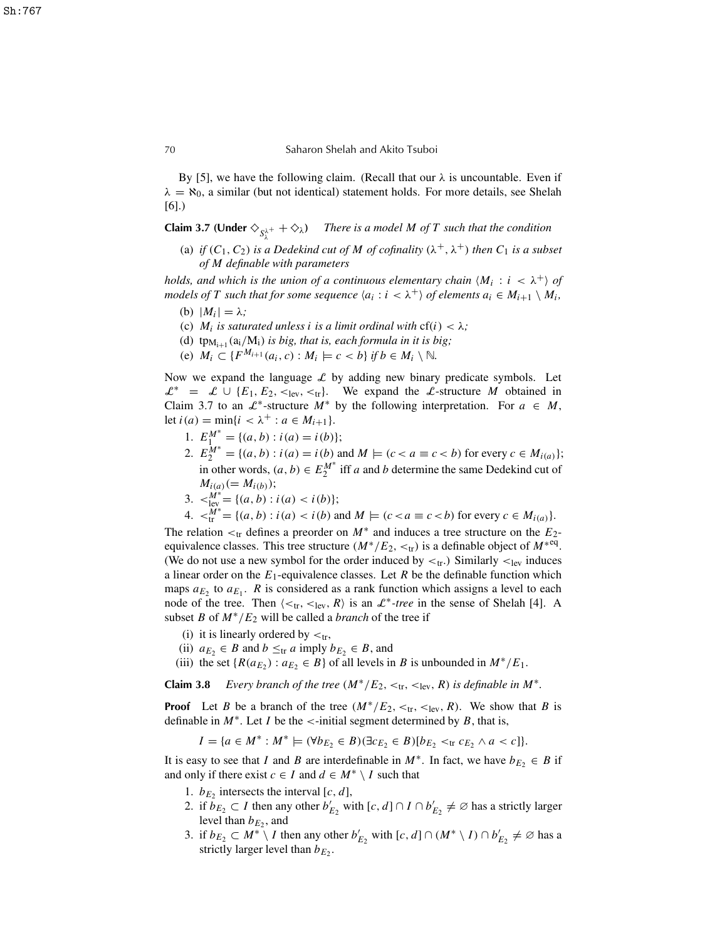By [5], we have the following claim. (Recall that our  $\lambda$  is uncountable. Even if  $\lambda = \aleph_0$ , a similar (but not identical) statement holds. For more details, see Shelah [6].)

**Claim 3.7 (Under**  $\diamondsuit_{S_\lambda^{\lambda^+}} + \diamondsuit_\lambda$ ) *There is a model M of T such that the condition* 

(a) *if*  $(C_1, C_2)$  *is a Dedekind cut of*  $M$  *of cofinality*  $(\lambda^+, \lambda^+)$  *then*  $C_1$  *is a subset of M definable with parameters*

*holds, and which is the union of a continuous elementary chain*  $\langle M_i : i \langle \lambda^+ \rangle$  of *models* of *T* such that for some sequence  $\langle a_i : i \langle \lambda^+ \rangle$  of elements  $a_i \in M_{i+1} \setminus M_i$ ,

- (b)  $|M_i| = \lambda$ ;
- (c)  $M_i$  *is saturated unless <i>i is a limit ordinal with*  $cf(i) < \lambda$ ;
- (d)  $tp_{M_{i+1}}(a_i/M_i)$  *is big, that is, each formula in it is big;*
- (e)  $M_i \subset \{F^{M_{i+1}}(a_i, c) : M_i \models c < b\}$  if  $b \in M_i \setminus \mathbb{N}$ .

Now we expand the language  $\mathcal L$  by adding new binary predicate symbols. Let  $\mathcal{L}^* = \mathcal{L} \cup \{E_1, E_2, \lt_{\text{lev}}, \lt_{\text{tr}}\}.$  We expand the L-structure *M* obtained in Claim 3.7 to an  $\mathcal{L}^*$ -structure  $M^*$  by the following interpretation. For  $a \in M$ , let  $i(a) = \min\{i < \lambda^+ : a \in M_{i+1}\}.$ 

- 1.  $E_1^{M^*} = \{(a, b) : i(a) = i(b)\};$
- 2.  $E_2^{\mathbf{M}^*} = \{(a, b) : i(a) = i(b) \text{ and } M \models (c < a \equiv c < b) \text{ for every } c \in M_{i(a)}\};$ in other words,  $(a, b) \in E_2^{M^*}$  iff *a* and *b* determine the same Dedekind cut of  $M_{i(a)} (= M_{i(b)})$ ;
- 3.  $\lt_{\text{lev}}^{\tilde{M}^*} = \{(a, b) : i(a) < i(b)\};$

4. 
$$
\langle f''''_{tr} = \{(a, b) : i(a) < i(b) \text{ and } M \models (c < a \equiv c < b) \text{ for every } c \in M_{i(a)}\}.
$$

The relation  $\lt_{tr}$  defines a preorder on  $M^*$  and induces a tree structure on the  $E_2$ equivalence classes. This tree structure  $(M^*/E_2, <_t r)$  is a definable object of  $M^{*eq}$ . (We do not use a new symbol for the order induced by  $\lt_{tr}$ ) Similarly  $\lt_{lev}$  induces a linear order on the  $E_1$ -equivalence classes. Let  $R$  be the definable function which maps  $a_{E_2}$  to  $a_{E_1}$ . *R* is considered as a rank function which assigns a level to each node of the tree. Then  $\langle \lt_{tr}, \lt_{lev}, R \rangle$  is an  $\mathcal{L}^*$ -tree in the sense of Shelah [4]. A subset *B* of  $M^*/E_2$  will be called a *branch* of the tree if

- (i) it is linearly ordered by  $\lt_{tr}$ ,
- (ii)  $a_{E_2} \in B$  and  $b \leq tr a$  imply  $b_{E_2} \in B$ , and
- (iii) the set  $\{R(a_{E_2}) : a_{E_2} \in B\}$  of all levels in *B* is unbounded in  $M^*/E_1$ .

**Claim 3.8** *Every branch of the tree*  $(M^*/E_2, <_tr, <_ter, R)$  *is definable in*  $M^*$ .

**Proof** Let *B* be a branch of the tree  $(M^*/E_2, <_{{\rm tr}}, <_{{\rm lev}}, R)$ . We show that *B* is definable in  $M^*$ . Let *I* be the <-initial segment determined by *B*, that is,

 $I = \{a \in M^* : M^* \models (\forall b_{E_2} \in B)(\exists c_{E_2} \in B)[b_{E_2} <_{\text{tr}} c_{E_2} \land a < c]\}.$ 

It is easy to see that *I* and *B* are interdefinable in  $M^*$ . In fact, we have  $b_{E_2} \in B$  if and only if there exist  $c \in I$  and  $d \in M^* \setminus I$  such that

- 1.  $b_{E_2}$  intersects the interval [*c*, *d*],
- 2. if  $b_{E_2} \subset I$  then any other  $b'_{E_2}$  with  $[c, d] \cap I \cap b'_{E_2} \neq \emptyset$  has a strictly larger level than  $b_{E_2}$ , and
- 3. if  $b_{E_2} \subset M^* \setminus I$  then any other  $b'_{E_2}$  with  $[c, d] \cap (M^* \setminus I) \cap b'_{E_2} \neq \emptyset$  has a strictly larger level than  $b_{E_2}$ .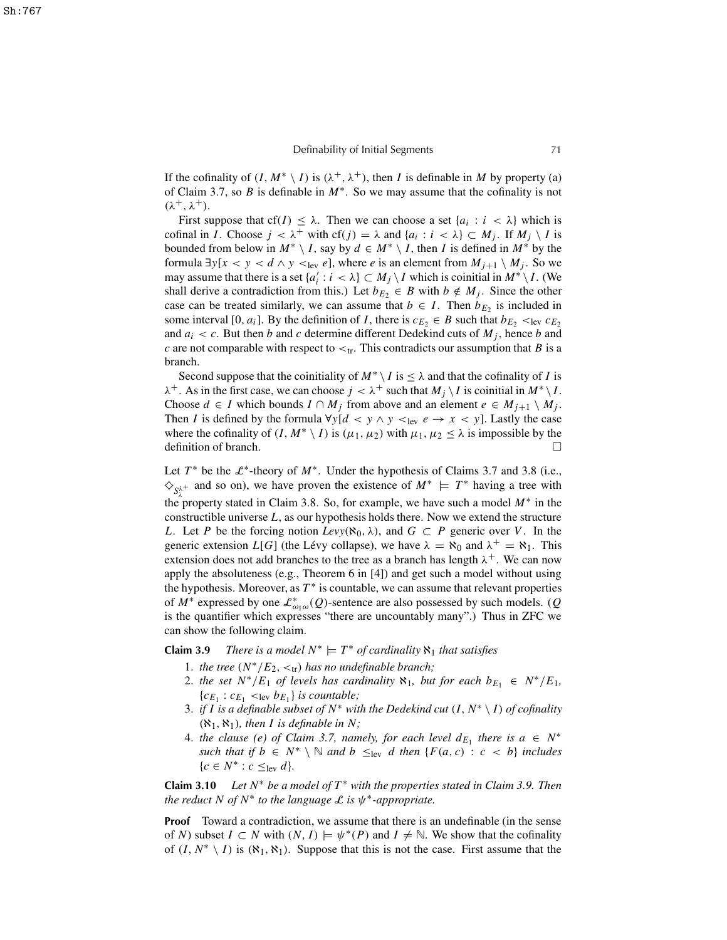If the cofinality of  $(I, M^* \setminus I)$  is  $(\lambda^+, \lambda^+)$ , then *I* is definable in *M* by property (a) of Claim 3.7, so *B* is definable in *M*<sup>∗</sup> . So we may assume that the cofinality is not  $(\lambda^+, \lambda^+).$ 

First suppose that  $cf(I) \leq \lambda$ . Then we can choose a set  $\{a_i : i < \lambda\}$  which is cofinal in *I*. Choose  $j < \lambda^+$  with cf(*j*) =  $\lambda$  and { $a_i : i < \lambda$ }  $\subset M_j$ . If  $M_j \setminus I$  is bounded from below in  $M^* \setminus I$ , say by  $d \in M^* \setminus I$ , then *I* is defined in  $M^*$  by the formula  $\exists y[x \leq y \leq d \land y \leq_{\text{lev}} e]$ , where *e* is an element from  $M_{j+1} \setminus M_j$ . So we may assume that there is a set  $\{a'_i : i < \lambda\} \subset M_j \setminus I$  which is coinitial in  $M^* \setminus I$ . (We shall derive a contradiction from this.) Let  $b_{E_2} \in B$  with  $b \notin M_j$ . Since the other case can be treated similarly, we can assume that  $b \in I$ . Then  $b_{E_2}$  is included in some interval [0,  $a_i$ ]. By the definition of *I*, there is  $c_{E_2} \in B$  such that  $b_{E_2} <_{\text{lev}} c_{E_2}$ and  $a_i < c$ . But then *b* and *c* determine different Dedekind cuts of  $M_j$ , hence *b* and *c* are not comparable with respect to  $\lt_{tr}$ . This contradicts our assumption that *B* is a branch.

Second suppose that the coinitiality of  $M^* \setminus I$  is  $\leq \lambda$  and that the cofinality of *I* is  $\lambda^+$ . As in the first case, we can choose  $j < \lambda^+$  such that  $M_j \setminus I$  is coinitial in  $M^* \setminus I$ . Choose  $d \in I$  which bounds  $I \cap M_j$  from above and an element  $e \in M_{j+1} \setminus M_j$ . Then *I* is defined by the formula  $\forall y[d \leq y \land y \leq_{\text{lev}} e \rightarrow x \leq y]$ . Lastly the case where the cofinality of  $(I, M^* \setminus I)$  is  $(\mu_1, \mu_2)$  with  $\mu_1, \mu_2 \le \lambda$  is impossible by the definition of branch.  $\Box$ 

Let  $T^*$  be the  $\mathcal{L}^*$ -theory of  $M^*$ . Under the hypothesis of Claims 3.7 and 3.8 (i.e.,  $\diamondsuit_{S_1^{\lambda^+}}$  and so on), we have proven the existence of  $M^* \models T^*$  having a tree with the property stated in Claim 3.8. So, for example, we have such a model  $M^*$  in the constructible universe *L*, as our hypothesis holds there. Now we extend the structure *L*. Let *P* be the forcing notion  $Levy(\aleph_0, \lambda)$ , and  $G \subset P$  generic over *V*. In the generic extension  $L[G]$  (the Lévy collapse), we have  $\lambda = \aleph_0$  and  $\lambda^+ = \aleph_1$ . This extension does not add branches to the tree as a branch has length  $\lambda^{+}$ . We can now apply the absoluteness (e.g., Theorem 6 in [4]) and get such a model without using the hypothesis. Moreover, as  $T^*$  is countable, we can assume that relevant properties of  $M^*$  expressed by one  $\mathcal{L}^*_{\omega_1\omega}(Q)$ -sentence are also possessed by such models. (*Q*) is the quantifier which expresses "there are uncountably many".) Thus in ZFC we can show the following claim.

**Claim 3.9** *There is a model*  $N^* \models T^*$  *of cardinality*  $\aleph_1$  *that satisfies* 

- 1. *the tree*  $(N^*/E_2, <_tr)$  *has no undefinable branch;*
- 2. *the set*  $N^*/E_1$  *of levels has cardinality*  $\aleph_1$ *, but for each*  $b_{E_1} \in N^*/E_1$ *,*  ${c_{E_1} : c_{E_1} < \text{lev } b_{E_1}}$  *is countable;*
- 3. *if I* is a definable subset of  $N^*$  with the Dedekind cut  $(I, N^* \setminus I)$  of cofinality  $(\aleph_1, \aleph_1)$ *, then I is definable in N*;
- 4. *the clause* (*e*) *of Claim* 3.7, *namely, for each level*  $d_{E_1}$  *there is*  $a \in N^*$ *such that if*  $b \in N^* \setminus \mathbb{N}$  *and*  $b \leq_{\text{lev}} d$  *then* {*F*(*a*, *c*) : *c* < *b*} *includes*  ${c \in N^* : c \leq_{\text{lev}} d}$

**Claim 3.10** *Let N* <sup>∗</sup> *be a model of T* <sup>∗</sup> *with the properties stated in Claim 3.9. Then the reduct*  $N$  *of*  $N^*$  *to the language*  $\mathcal L$  *is*  $\psi^*$ -*appropriate.* 

**Proof** Toward a contradiction, we assume that there is an undefinable (in the sense of *N*) subset  $I \subset N$  with  $(N, I) \models \psi^*(P)$  and  $I \neq \mathbb{N}$ . We show that the cofinality of  $(I, N^* \setminus I)$  is  $(\aleph_1, \aleph_1)$ . Suppose that this is not the case. First assume that the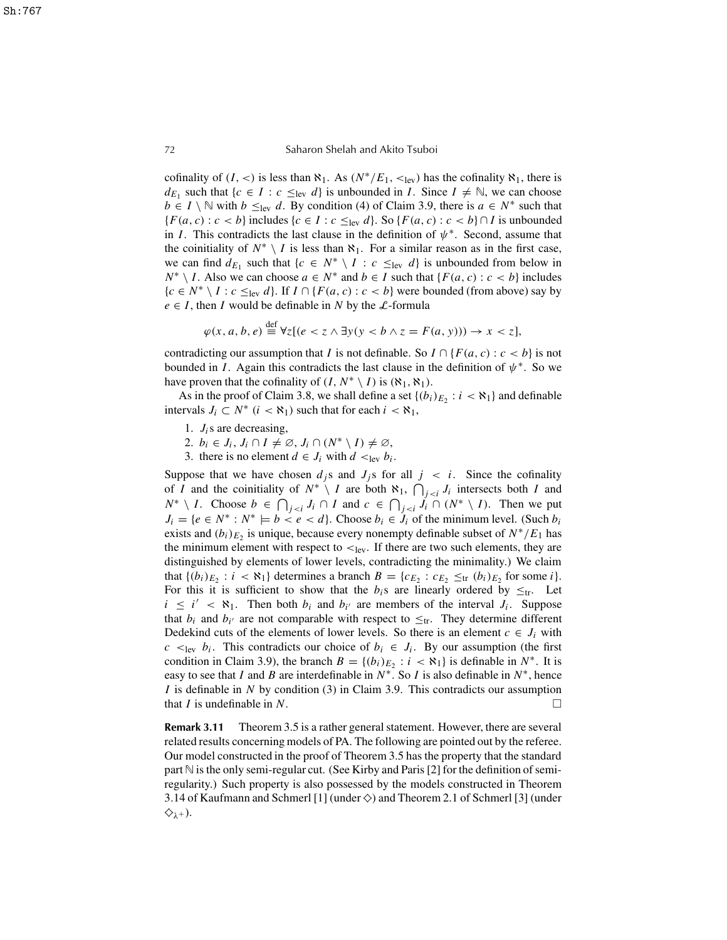72 Saharon Shelah and Akito Tsuboi

cofinality of  $(I, \le)$  is less than  $\aleph_1$ . As  $(N^*/E_1, \le)$ <sub>lev</sub>) has the cofinality  $\aleph_1$ , there is *d*<sub>E1</sub> such that {*c*  $\in$  *I* : *c*  $\leq$ <sub>lev</sub> *d*} is unbounded in *I*. Since *I*  $\neq$  N, we can choose *b* ∈ *I* \ N with *b*  $\leq$ <sub>lev</sub> *d*. By condition (4) of Claim 3.9, there is *a* ∈ *N*<sup>\*</sup> such that *{F*(*a*, *c*) : *c* < *b*} includes {*c* ∈ *I* : *c* ≤<sub>lev</sub> *d*}. So {*F*(*a*, *c*) : *c* < *b*}∩*I* is unbounded in *I*. This contradicts the last clause in the definition of  $\psi^*$ . Second, assume that the coinitiality of  $N^* \setminus I$  is less than  $\aleph_1$ . For a similar reason as in the first case, we can find  $d_{E_1}$  such that  $\{c \in N^* \setminus I : c \leq_{\text{lev}} d\}$  is unbounded from below in *N*<sup>\*</sup>  $\setminus$  *I*. Also we can choose *a* ∈ *N*<sup>\*</sup> and *b* ∈ *I* such that {*F*(*a*, *c*) : *c* < *b*} includes {*c* ∈ *N*<sup>\*</sup> \ *I* : *c* ≤<sub>lev</sub> *d*}. If *I* ∩ {*F*(*a*, *c*) : *c* < *b*} were bounded (from above) say by  $e \in I$ , then *I* would be definable in *N* by the *L*-formula

$$
\varphi(x, a, b, e) \stackrel{\text{def}}{=} \forall z [(e < z \land \exists y (y < b \land z = F(a, y))) \rightarrow x < z],
$$

contradicting our assumption that *I* is not definable. So  $I \cap {F(a, c) : c < b}$  is not bounded in *I*. Again this contradicts the last clause in the definition of  $\psi^*$ . So we have proven that the cofinality of  $(I, N^* \setminus I)$  is  $(\aleph_1, \aleph_1)$ .

As in the proof of Claim 3.8, we shall define a set  $\{(b_i)_{E_2} : i < \aleph_1\}$  and definable intervals  $J_i \subset N^*$   $(i < \aleph_1)$  such that for each  $i < \aleph_1$ ,

- 1. *Ji*s are decreasing,
- 2.  $b_i \in J_i$ ,  $J_i \cap I \neq \emptyset$ ,  $J_i \cap (N^* \setminus I) \neq \emptyset$ ,
- 3. there is no element  $d \in J_i$  with  $d \leq_{\text{lev}} b_i$ .

Suppose that we have chosen  $d_j$ s and  $J_j$ s for all  $j \lt i$ . Since the cofinality of *I* and the coinitiality of  $N^* \setminus I$  are both  $\aleph_1$ ,  $\bigcap_{j \leq i} J_i$  intersects both *I* and *N*<sup>\*</sup>  $\setminus$  *I*. Choose *b* ∈  $\bigcap_{j \le i} J_i \cap I$  and  $c \in \bigcap_{j \le i} J_i \cap (N^* \setminus I)$ . Then we put  $J_i = \{e \in N^* : N^* \models b < e < d\}$ . Choose  $b_i \in J_i$  of the minimum level. (Such  $b_i$ exists and  $(b_i)_{E_2}$  is unique, because every nonempty definable subset of  $N^*/E_1$  has the minimum element with respect to  $\lt_{lev}$ . If there are two such elements, they are distinguished by elements of lower levels, contradicting the minimality.) We claim that  $\{(b_i)_{E_2} : i < \aleph_1\}$  determines a branch  $B = \{c_{E_2} : c_{E_2} \leq_{\text{tr}} (b_i)_{E_2} \text{ for some } i\}.$ For this it is sufficient to show that the  $b_i$ s are linearly ordered by  $\leq_{tr}$ . Let  $i \leq i' < \aleph_1$ . Then both  $b_i$  and  $b_{i'}$  are members of the interval  $J_i$ . Suppose that  $b_i$  and  $b_{i'}$  are not comparable with respect to  $\leq_{tr}$ . They determine different Dedekind cuts of the elements of lower levels. So there is an element  $c \in J_i$  with  $c \leq_{\text{lev}} b_i$ . This contradicts our choice of  $b_i \in J_i$ . By our assumption (the first condition in Claim 3.9), the branch  $B = \{(b_i)_{E_2} : i < \aleph_1\}$  is definable in  $N^*$ . It is easy to see that *I* and *B* are interdefinable in  $N^*$ . So *I* is also definable in  $N^*$ , hence *I* is definable in *N* by condition (3) in Claim 3.9. This contradicts our assumption that *I* is undefinable in *N*.

**Remark 3.11** Theorem 3.5 is a rather general statement. However, there are several related results concerning models of PA. The following are pointed out by the referee. Our model constructed in the proof of Theorem 3.5 has the property that the standard part  $\mathbb N$  is the only semi-regular cut. (See Kirby and Paris [2] for the definition of semiregularity.) Such property is also possessed by the models constructed in Theorem 3.14 of Kaufmann and Schmerl [1] (under  $\diamondsuit$ ) and Theorem 2.1 of Schmerl [3] (under  $\diamondsuit_{\lambda^+}$ ).